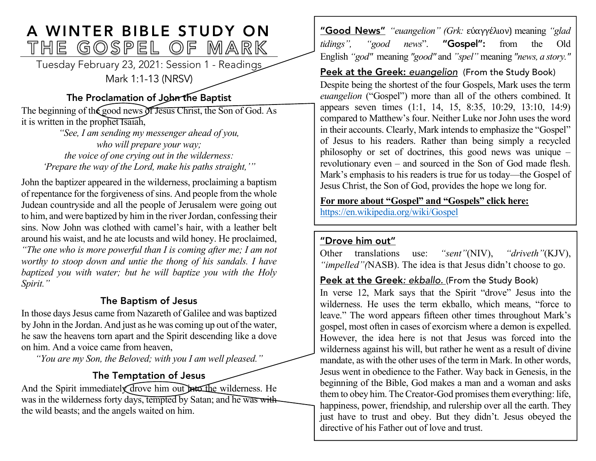# A WINTER BIBLE STUDY ON<br>THE GOSPEL OF MARK

Tuesday February 23, 2021: Session 1 - Readings Mark 1:1-13 (NRSV)

# The Proclamation of John the Baptist

The beginning of the good news of Jesus Christ, the Son of God. As it is written in the prophet Isaiah,

*"See, I am sending my messenger ahead of you, who will prepare your way; the voice of one crying out in the wilderness: 'Prepare the way of the Lord, make his paths straight,'"*

John the baptizer appeared in the wilderness, proclaiming a baptism of repentance for the forgiveness of sins. And people from the whole Judean countryside and all the people of Jerusalem were going out to him, and were baptized by him in the river Jordan, confessing their sins. Now John was clothed with camel's hair, with a leather belt around his waist, and he ate locusts and wild honey. He proclaimed, *"The one who is more powerful than I is coming after me; I am not worthy to stoop down and untie the thong of his sandals. I have baptized you with water; but he will baptize you with the Holy Spirit."*

# The Baptism of Jesus

In those days Jesus came from Nazareth of Galilee and was baptized by John in the Jordan. And just as he was coming up out of the water, he saw the heavens torn apart and the Spirit descending like a dove on him. And a voice came from heaven,

*"You are my Son, the Beloved; with you I am well pleased."*

# The Temptation of Jesus

And the Spirit immediately drove him out into the wilderness. He was in the wilderness forty days, tempted by Satan; and he was with the wild beasts; and the angels waited on him.

"Good News" *"euangelion" (Grk:* εὐαγγέλιον) meaning *"glad tidings", "good news*". "Gospel": from the Old English *"god"* meaning *"good"* and *"spel"* meaning *"news, a story."*

#### Peek at the Greek: *euangelion* (From the Study Book)

Despite being the shortest of the four Gospels, Mark uses the term *euangelion* ("Gospel") more than all of the others combined. It appears seven times (1:1, 14, 15, 8:35, 10:29, 13:10, 14:9) compared to Matthew's four. Neither Luke nor John uses the word in their accounts. Clearly, Mark intends to emphasize the "Gospel" of Jesus to his readers. Rather than being simply a recycled philosophy or set of doctrines, this good news was unique – revolutionary even – and sourced in the Son of God made flesh. Mark's emphasis to his readers is true for us today—the Gospel of Jesus Christ, the Son of God, provides the hope we long for.

**For more about "Gospel" and "Gospels" click here:** https://en.wikipedia.org/wiki/Gospel

#### "Drove him out"

Other translations use: *"sent"*(NIV), *"driveth"*(KJV), *"impelled"(*NASB). The idea is that Jesus didn't choose to go.

# Peek at the Greek: ekballo. (From the Study Book)

In verse 12, Mark says that the Spirit "drove" Jesus into the wilderness. He uses the term ekballo, which means, "force to leave." The word appears fifteen other times throughout Mark's gospel, most often in cases of exorcism where a demon is expelled. However, the idea here is not that Jesus was forced into the wilderness against his will, but rather he went as a result of divine mandate, as with the other uses of the term in Mark. In other words, Jesus went in obedience to the Father. Way back in Genesis, in the beginning of the Bible, God makes a man and a woman and asks them to obey him. The Creator-God promises them everything: life, happiness, power, friendship, and rulership over all the earth. They just have to trust and obey. But they didn't. Jesus obeyed the directive of his Father out of love and trust.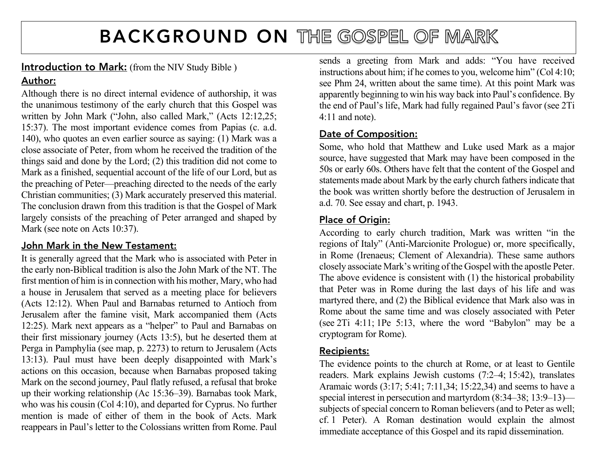# BACKGROUND ON THE GOSPEL OF MARK

# Introduction to Mark: (from the NIV Study Bible)

# Author:

Although there is no direct internal evidence of authorship, it was the unanimous testimony of the early church that this Gospel was written by John Mark ("John, also called Mark," (Acts 12:12,25; 15:37). The most important evidence comes from Papias (c. a.d. 140), who quotes an even earlier source as saying: (1) Mark was a close associate of Peter, from whom he received the tradition of the things said and done by the Lord; (2) this tradition did not come to Mark as a finished, sequential account of the life of our Lord, but as the preaching of Peter—preaching directed to the needs of the early Christian communities; (3) Mark accurately preserved this material. The conclusion drawn from this tradition is that the Gospel of Mark largely consists of the preaching of Peter arranged and shaped by Mark (see note on Acts 10:37).

# John Mark in the New Testament:

It is generally agreed that the Mark who is associated with Peter in the early non-Biblical tradition is also the John Mark of the NT. The first mention of him is in connection with his mother, Mary, who had a house in Jerusalem that served as a meeting place for believers (Acts 12:12). When Paul and Barnabas returned to Antioch from Jerusalem after the famine visit, Mark accompanied them (Acts 12:25). Mark next appears as a "helper" to Paul and Barnabas on their first missionary journey (Acts 13:5), but he deserted them at Perga in Pamphylia (see map, p. 2273) to return to Jerusalem (Acts 13:13). Paul must have been deeply disappointed with Mark's actions on this occasion, because when Barnabas proposed taking Mark on the second journey, Paul flatly refused, a refusal that broke up their working relationship (Ac 15:36–39). Barnabas took Mark, who was his cousin (Col 4:10), and departed for Cyprus. No further mention is made of either of them in the book of Acts. Mark reappears in Paul's letter to the Colossians written from Rome. Paul sends a greeting from Mark and adds: "You have received instructions about him; if he comes to you, welcome him" (Col 4:10; see Phm 24, written about the same time). At this point Mark was apparently beginning to win his way back into Paul's confidence. By the end of Paul's life, Mark had fully regained Paul's favor (see 2Ti 4:11 and note).

# Date of Composition:

Some, who hold that Matthew and Luke used Mark as a major source, have suggested that Mark may have been composed in the 50s or early 60s. Others have felt that the content of the Gospel and statements made about Mark by the early church fathers indicate that the book was written shortly before the destruction of Jerusalem in a.d. 70. See essay and chart, p. 1943.

# Place of Origin:

According to early church tradition, Mark was written "in the regions of Italy" (Anti-Marcionite Prologue) or, more specifically, in Rome (Irenaeus; Clement of Alexandria). These same authors closely associate Mark's writing of the Gospel with the apostle Peter. The above evidence is consistent with (1) the historical probability that Peter was in Rome during the last days of his life and was martyred there, and (2) the Biblical evidence that Mark also was in Rome about the same time and was closely associated with Peter (see 2Ti 4:11; 1Pe 5:13, where the word "Babylon" may be a cryptogram for Rome).

# Recipients:

The evidence points to the church at Rome, or at least to Gentile readers. Mark explains Jewish customs (7:2–4; 15:42), translates Aramaic words (3:17; 5:41; 7:11,34; 15:22,34) and seems to have a special interest in persecution and martyrdom (8:34–38; 13:9–13) subjects of special concern to Roman believers (and to Peter as well; cf. 1 Peter). A Roman destination would explain the almost immediate acceptance of this Gospel and its rapid dissemination.